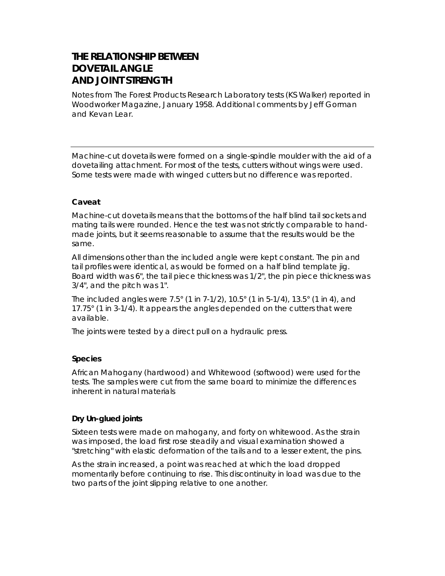# **THE RELATIONSHIP BETWEEN DOVETAIL ANGLE AND JOINT STRENGTH**

*Notes from The Forest Products Research Laboratory tests (KS Walker) reported in Woodworker Magazine, January 1958. Additional comments by Jeff Gorman and Kevan Lear.*

Machine-cut dovetails were formed on a single-spindle moulder with the aid of a dovetailing attachment. For most of the tests, cutters without wings were used. Some tests were made with winged cutters but no difference was reported.

### **Caveat**

Machine-cut dovetails means that the bottoms of the half blind tail sockets and mating tails were rounded. Hence the test was not strictly comparable to handmade joints, but it seems reasonable to assume that the results would be the same.

All dimensions other than the included angle were kept constant. The pin and tail profiles were identical, as would be formed on a half blind template jig. Board width was 6", the tail piece thickness was 1/2", the pin piece thickness was 3/4", and the pitch was 1".

The included angles were 7.5° (1 in 7-1/2), 10.5° (1 in 5-1/4), 13.5° (1 in 4), and 17.75° (1 in 3-1/4). It appears the angles depended on the cutters that were available.

The joints were tested by a direct pull on a hydraulic press.

### **Species**

African Mahogany (hardwood) and Whitewood (softwood) were used for the tests. The samples were cut from the same board to minimize the differences inherent in natural materials

### **Dry Un-glued joints**

Sixteen tests were made on mahogany, and forty on whitewood. As the strain was imposed, the load first rose steadily and visual examination showed a "stretching" with elastic deformation of the tails and to a lesser extent, the pins.

As the strain increased, a point was reached at which the load dropped momentarily before continuing to rise. This discontinuity in load was due to the two parts of the joint slipping relative to one another.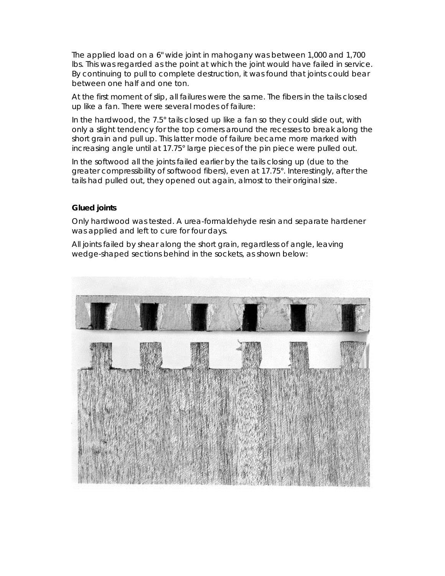The applied load on a 6" wide joint in mahogany was between 1,000 and 1,700 lbs. This was regarded as the point at which the joint would have failed in service. By continuing to pull to complete destruction, it was found that joints could bear between one half and one ton.

At the first moment of slip, all failures were the same. The fibers in the tails closed up like a fan. There were several modes of failure:

In the hardwood, the 7.5° tails closed up like a fan so they could slide out, with only a slight tendency for the top corners around the recesses to break along the short grain and pull up. This latter mode of failure became more marked with increasing angle until at 17.75° large pieces of the pin piece were pulled out.

In the softwood all the joints failed earlier by the tails closing up (due to the greater compressibility of softwood fibers), even at 17.75°. Interestingly, after the tails had pulled out, they opened out again, almost to their original size.

### **Glued joints**

Only hardwood was tested. A urea-formaldehyde resin and separate hardener was applied and left to cure for four days.

All joints failed by shear along the short grain, regardless of angle, leaving wedge-shaped sections behind in the sockets, as shown below: